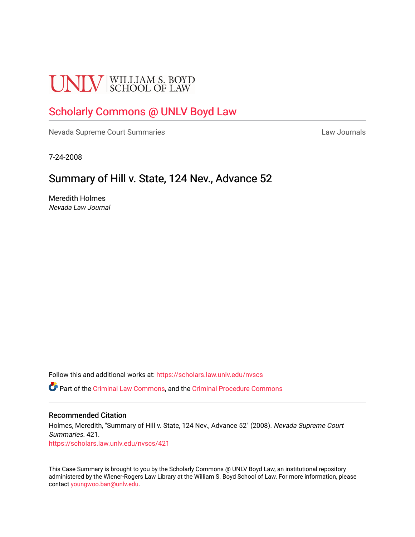# **UNLV** SCHOOL OF LAW

## [Scholarly Commons @ UNLV Boyd Law](https://scholars.law.unlv.edu/)

[Nevada Supreme Court Summaries](https://scholars.law.unlv.edu/nvscs) **Law Journals** Law Journals

7-24-2008

## Summary of Hill v. State, 124 Nev., Advance 52

Meredith Holmes Nevada Law Journal

Follow this and additional works at: [https://scholars.law.unlv.edu/nvscs](https://scholars.law.unlv.edu/nvscs?utm_source=scholars.law.unlv.edu%2Fnvscs%2F421&utm_medium=PDF&utm_campaign=PDFCoverPages)

Part of the [Criminal Law Commons,](http://network.bepress.com/hgg/discipline/912?utm_source=scholars.law.unlv.edu%2Fnvscs%2F421&utm_medium=PDF&utm_campaign=PDFCoverPages) and the [Criminal Procedure Commons](http://network.bepress.com/hgg/discipline/1073?utm_source=scholars.law.unlv.edu%2Fnvscs%2F421&utm_medium=PDF&utm_campaign=PDFCoverPages)

#### Recommended Citation

Holmes, Meredith, "Summary of Hill v. State, 124 Nev., Advance 52" (2008). Nevada Supreme Court Summaries. 421. [https://scholars.law.unlv.edu/nvscs/421](https://scholars.law.unlv.edu/nvscs/421?utm_source=scholars.law.unlv.edu%2Fnvscs%2F421&utm_medium=PDF&utm_campaign=PDFCoverPages)

This Case Summary is brought to you by the Scholarly Commons @ UNLV Boyd Law, an institutional repository administered by the Wiener-Rogers Law Library at the William S. Boyd School of Law. For more information, please contact [youngwoo.ban@unlv.edu](mailto:youngwoo.ban@unlv.edu).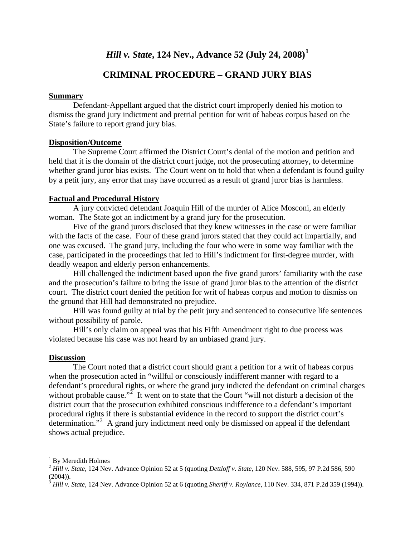## *Hill v. State***, 124 Nev., Advance 52 (July 24, 2008)[1](#page-1-0)**

### **CRIMINAL PROCEDURE – GRAND JURY BIAS**

#### **Summary**

 Defendant-Appellant argued that the district court improperly denied his motion to dismiss the grand jury indictment and pretrial petition for writ of habeas corpus based on the State's failure to report grand jury bias.

#### **Disposition/Outcome**

The Supreme Court affirmed the District Court's denial of the motion and petition and held that it is the domain of the district court judge, not the prosecuting attorney, to determine whether grand juror bias exists. The Court went on to hold that when a defendant is found guilty by a petit jury, any error that may have occurred as a result of grand juror bias is harmless.

#### **Factual and Procedural History**

A jury convicted defendant Joaquin Hill of the murder of Alice Mosconi, an elderly woman. The State got an indictment by a grand jury for the prosecution.

Five of the grand jurors disclosed that they knew witnesses in the case or were familiar with the facts of the case. Four of these grand jurors stated that they could act impartially, and one was excused. The grand jury, including the four who were in some way familiar with the case, participated in the proceedings that led to Hill's indictment for first-degree murder, with deadly weapon and elderly person enhancements.

Hill challenged the indictment based upon the five grand jurors' familiarity with the case and the prosecution's failure to bring the issue of grand juror bias to the attention of the district court. The district court denied the petition for writ of habeas corpus and motion to dismiss on the ground that Hill had demonstrated no prejudice.

Hill was found guilty at trial by the petit jury and sentenced to consecutive life sentences without possibility of parole.

Hill's only claim on appeal was that his Fifth Amendment right to due process was violated because his case was not heard by an unbiased grand jury.

#### **Discussion**

 The Court noted that a district court should grant a petition for a writ of habeas corpus when the prosecution acted in "willful or consciously indifferent manner with regard to a defendant's procedural rights, or where the grand jury indicted the defendant on criminal charges without probable cause."<sup>[2](#page-1-1)</sup> It went on to state that the Court "will not disturb a decision of the district court that the prosecution exhibited conscious indifference to a defendant's important procedural rights if there is substantial evidence in the record to support the district court's determination."<sup>[3](#page-1-2)</sup> A grand jury indictment need only be dismissed on appeal if the defendant shows actual prejudice.

<u>.</u>

<span id="page-1-0"></span><sup>&</sup>lt;sup>1</sup> By Meredith Holmes

<span id="page-1-1"></span><sup>2</sup> *Hill v. State*, 124 Nev. Advance Opinion 52 at 5 (quoting *Dettloff v. State*, 120 Nev. 588, 595, 97 P.2d 586, 590  $(2004)$ ).

<span id="page-1-2"></span><sup>3</sup> *Hill v. State*, 124 Nev. Advance Opinion 52 at 6 (quoting *Sheriff v. Roylance*, 110 Nev. 334, 871 P.2d 359 (1994)).